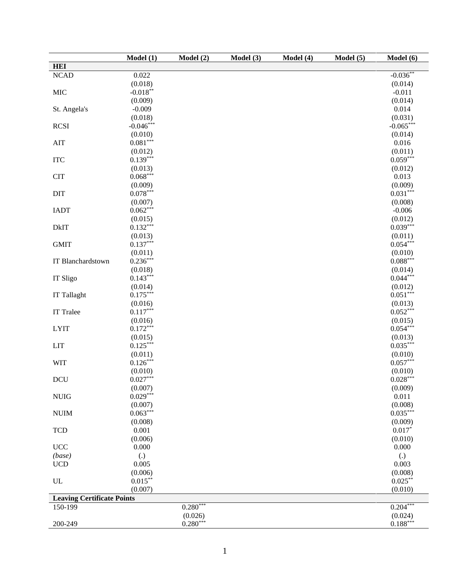|                                   | Model(1)              | Model (2)  | Model (3) | Model (4) | Model (5) | Model (6)             |
|-----------------------------------|-----------------------|------------|-----------|-----------|-----------|-----------------------|
| <b>HEI</b>                        |                       |            |           |           |           |                       |
| NCAD                              | 0.022                 |            |           |           |           | $-0.036**$            |
|                                   | (0.018)               |            |           |           |           | (0.014)               |
| <b>MIC</b>                        | $-0.018***$           |            |           |           |           | $-0.011$              |
|                                   | (0.009)               |            |           |           |           | (0.014)               |
| St. Angela's                      | $-0.009$              |            |           |           |           | 0.014                 |
|                                   | (0.018)               |            |           |           |           | (0.031)               |
| <b>RCSI</b>                       | $-0.046***$           |            |           |           |           | $-0.065***$           |
|                                   | (0.010)               |            |           |           |           | (0.014)               |
|                                   | $0.081***$            |            |           |           |           | 0.016                 |
| AIT                               |                       |            |           |           |           |                       |
|                                   | (0.012)<br>$0.139***$ |            |           |           |           | (0.011)<br>$0.059***$ |
| <b>ITC</b>                        |                       |            |           |           |           |                       |
|                                   | (0.013)               |            |           |           |           | (0.012)               |
| <b>CIT</b>                        | $0.068***$            |            |           |           |           | 0.013                 |
|                                   | (0.009)               |            |           |           |           | (0.009)               |
| DIT                               | $0.078***$            |            |           |           |           | $0.031***$            |
|                                   | (0.007)               |            |           |           |           | (0.008)               |
| <b>IADT</b>                       | $0.062***$            |            |           |           |           | $-0.006$              |
|                                   | (0.015)               |            |           |           |           | (0.012)               |
| <b>DkIT</b>                       | $0.132***$            |            |           |           |           | $0.039***$            |
|                                   | (0.013)               |            |           |           |           | (0.011)               |
| <b>GMIT</b>                       | $0.137***$            |            |           |           |           | $0.054***$            |
|                                   | (0.011)               |            |           |           |           | (0.010)               |
| IT Blanchardstown                 | $0.236***$            |            |           |           |           | $0.088***$            |
|                                   | (0.018)               |            |           |           |           | (0.014)               |
| IT Sligo                          | $0.143***$            |            |           |           |           | $0.044***$            |
|                                   | (0.014)               |            |           |           |           | (0.012)               |
| IT Tallaght                       | $0.175***$            |            |           |           |           | $0.051***$            |
|                                   | (0.016)               |            |           |           |           | (0.013)               |
| <b>IT Tralee</b>                  | $0.117***$            |            |           |           |           | $0.052***$            |
|                                   | (0.016)               |            |           |           |           | (0.015)               |
| <b>LYIT</b>                       | $0.172***$            |            |           |           |           | $0.054***$            |
|                                   | (0.015)               |            |           |           |           | (0.013)               |
| <b>LIT</b>                        | $0.125***$            |            |           |           |           | $0.035***$            |
|                                   | (0.011)               |            |           |           |           | (0.010)               |
| <b>WIT</b>                        | $0.126***$            |            |           |           |           | $0.057***$            |
|                                   | (0.010)               |            |           |           |           | (0.010)               |
| DCU                               | $0.027***$            |            |           |           |           | $0.028***$            |
|                                   | (0.007)               |            |           |           |           | (0.009)               |
| <b>NUIG</b>                       | $0.029***$            |            |           |           |           | 0.011                 |
|                                   | (0.007)               |            |           |           |           | (0.008)               |
| <b>NUIM</b>                       | $0.063***$            |            |           |           |           | $0.035***$            |
|                                   |                       |            |           |           |           |                       |
|                                   | (0.008)               |            |           |           |           | (0.009)               |
| <b>TCD</b>                        | 0.001                 |            |           |           |           | $0.017*$              |
|                                   | (0.006)               |            |           |           |           | (0.010)               |
| $\ensuremath{\mathsf{UCC}}$       | 0.000                 |            |           |           |           | 0.000                 |
| (base)                            | $\left( .\right)$     |            |           |           |           | $\left( .\right)$     |
| <b>UCD</b>                        | 0.005                 |            |           |           |           | 0.003                 |
|                                   | (0.006)               |            |           |           |           | (0.008)               |
| UL                                | $0.015***$            |            |           |           |           | $0.025***$            |
|                                   | (0.007)               |            |           |           |           | (0.010)               |
| <b>Leaving Certificate Points</b> |                       |            |           |           |           |                       |
| 150-199                           |                       | $0.280***$ |           |           |           | $0.204***$            |
|                                   |                       | (0.026)    |           |           |           | (0.024)               |
| 200-249                           |                       | $0.280***$ |           |           |           | $0.188***$            |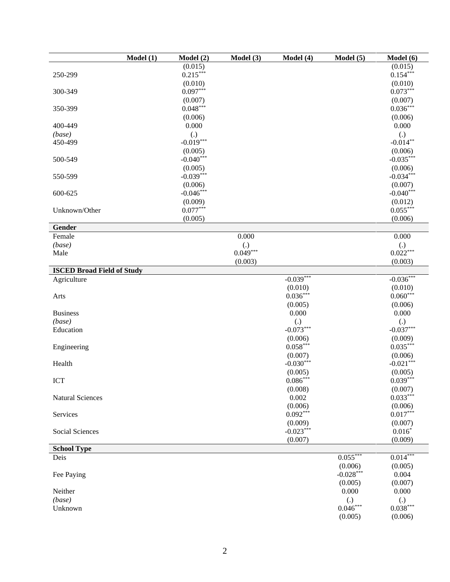|                                   | Model(1) | Model(2)          | Model (3)         | Model (4)         | Model(5)                        | Model (6)                       |
|-----------------------------------|----------|-------------------|-------------------|-------------------|---------------------------------|---------------------------------|
|                                   |          | (0.015)           |                   |                   |                                 | (0.015)                         |
| 250-299                           |          | $0.215***$        |                   |                   |                                 | $0.154***$                      |
|                                   |          | (0.010)           |                   |                   |                                 | (0.010)                         |
| 300-349                           |          | $0.097***$        |                   |                   |                                 | $0.073***$                      |
|                                   |          | (0.007)           |                   |                   |                                 | (0.007)                         |
| 350-399                           |          | $0.048***$        |                   |                   |                                 | $0.036***$                      |
|                                   |          | (0.006)           |                   |                   |                                 | (0.006)                         |
| 400-449                           |          | 0.000             |                   |                   |                                 | 0.000                           |
| (base)                            |          | $\left( .\right)$ |                   |                   |                                 | (.)                             |
| 450-499                           |          | $-0.019***$       |                   |                   |                                 | $-0.014**$                      |
|                                   |          | (0.005)           |                   |                   |                                 | (0.006)                         |
| 500-549                           |          | $-0.040***$       |                   |                   |                                 | $-0.035***$                     |
|                                   |          | (0.005)           |                   |                   |                                 | (0.006)                         |
| 550-599                           |          | $-0.039***$       |                   |                   |                                 | $-0.034***$                     |
|                                   |          | (0.006)           |                   |                   |                                 | (0.007)                         |
| 600-625                           |          | $-0.046***$       |                   |                   |                                 | $-0.040***$                     |
|                                   |          | (0.009)           |                   |                   |                                 | (0.012)                         |
| Unknown/Other                     |          | $0.077***$        |                   |                   |                                 | $0.055***$                      |
|                                   |          | (0.005)           |                   |                   |                                 | (0.006)                         |
| Gender                            |          |                   |                   |                   |                                 |                                 |
| Female                            |          |                   | 0.000             |                   |                                 | 0.000                           |
| (base)                            |          |                   | $\left( .\right)$ |                   |                                 | (.)                             |
| Male                              |          |                   | $0.049***$        |                   |                                 | $0.022***$                      |
|                                   |          |                   | (0.003)           |                   |                                 | (0.003)                         |
| <b>ISCED Broad Field of Study</b> |          |                   |                   |                   |                                 |                                 |
| Agriculture                       |          |                   |                   | $-0.039***$       |                                 | $-0.036***$                     |
|                                   |          |                   |                   | (0.010)           |                                 | (0.010)                         |
| Arts                              |          |                   |                   | $0.036***$        |                                 | $0.060***$                      |
|                                   |          |                   |                   | (0.005)           |                                 | (0.006)                         |
| <b>Business</b>                   |          |                   |                   | 0.000             |                                 | 0.000                           |
| (base)                            |          |                   |                   | $\left( .\right)$ |                                 | $\left( .\right)$               |
| Education                         |          |                   |                   | $-0.073***$       |                                 | $-0.037***$                     |
|                                   |          |                   |                   | (0.006)           |                                 | (0.009)                         |
| Engineering                       |          |                   |                   | $0.058***$        |                                 | $0.035***$                      |
|                                   |          |                   |                   | (0.007)           |                                 | (0.006)                         |
| Health                            |          |                   |                   | $-0.030***$       |                                 | $-0.021***$                     |
|                                   |          |                   |                   | (0.005)           |                                 | (0.005)                         |
| ICT                               |          |                   |                   | $0.086***$        |                                 | $0.039***$                      |
|                                   |          |                   |                   | (0.008)           |                                 | (0.007)                         |
| <b>Natural Sciences</b>           |          |                   |                   | 0.002             |                                 | $0.033***$                      |
|                                   |          |                   |                   | (0.006)           |                                 | (0.006)                         |
| Services                          |          |                   |                   | $0.092***$        |                                 | $0.017***$                      |
|                                   |          |                   |                   | (0.009)           |                                 | (0.007)                         |
| Social Sciences                   |          |                   |                   | $-0.023***$       |                                 | $0.016*$                        |
|                                   |          |                   |                   | (0.007)           |                                 | (0.009)                         |
| <b>School Type</b>                |          |                   |                   |                   |                                 |                                 |
| Deis                              |          |                   |                   |                   | $0.055***$                      | $0.014***$                      |
|                                   |          |                   |                   |                   | (0.006)                         | (0.005)                         |
| Fee Paying                        |          |                   |                   |                   | $-0.028***$                     | 0.004                           |
|                                   |          |                   |                   |                   | (0.005)                         | (0.007)                         |
| Neither                           |          |                   |                   |                   | 0.000                           | 0.000                           |
| (base)                            |          |                   |                   |                   | $\left( .\right)$<br>$0.046***$ | $\left( .\right)$<br>$0.038***$ |
| Unknown                           |          |                   |                   |                   |                                 |                                 |
|                                   |          |                   |                   |                   | (0.005)                         | (0.006)                         |